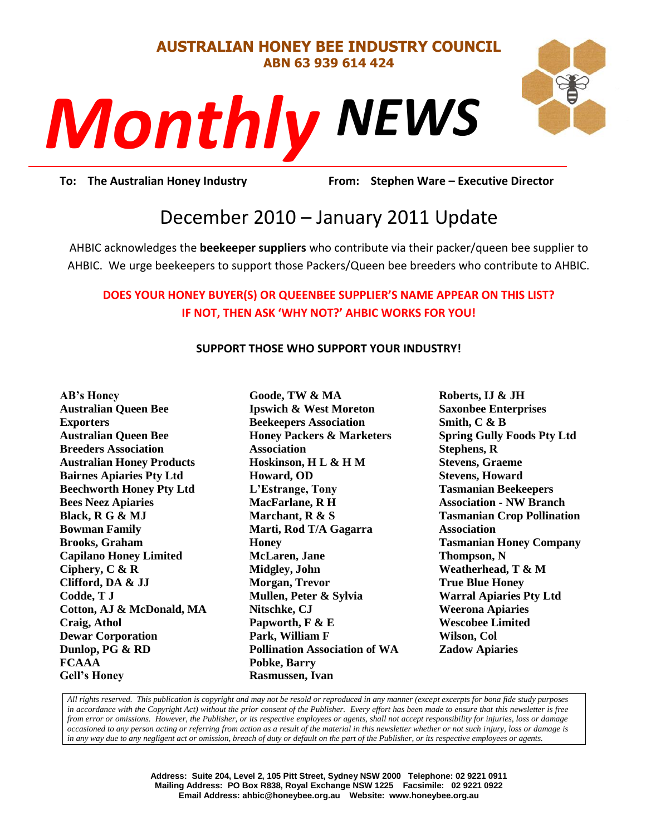#### **AUSTRALIAN HONEY BEE INDUSTRY COUNCIL ABN 63 939 614 424**

# *NEWS Monthly*



**Prom:** Stephen **To: The Australian Honey Industry From: Stephen Ware – Executive Director**

# December 2010 – January 2011 Update

AHBIC acknowledges the **beekeeper suppliers** who contribute via their packer/queen bee supplier to AHBIC. We urge beekeepers to support those Packers/Queen bee breeders who contribute to AHBIC.

# **DOES YOUR HONEY BUYER(S) OR QUEENBEE SUPPLIER'S NAME APPEAR ON THIS LIST? IF NOT, THEN ASK 'WHY NOT?' AHBIC WORKS FOR YOU!**

#### **SUPPORT THOSE WHO SUPPORT YOUR INDUSTRY!**

**AB's Honey Australian Queen Bee Exporters Australian Queen Bee Breeders Association Australian Honey Products Bairnes Apiaries Pty Ltd Beechworth Honey Pty Ltd Bees Neez Apiaries Black, R G & MJ Bowman Family Brooks, Graham Capilano Honey Limited Ciphery, C & R Clifford, DA & JJ Codde, T J Cotton, AJ & McDonald, MA Craig, Athol Dewar Corporation Dunlop, PG & RD FCAAA Gell's Honey**

**Goode, TW & MA Ipswich & West Moreton Beekeepers Association Honey Packers & Marketers Association Hoskinson, H L & H M Howard, OD L'Estrange, Tony MacFarlane, R H Marchant, R & S Marti, Rod T/A Gagarra Honey McLaren, Jane Midgley, John Morgan, Trevor Mullen, Peter & Sylvia Nitschke, CJ Papworth, F & E Park, William F Pollination Association of WA Pobke, Barry Rasmussen, Ivan**

**Roberts, IJ & JH Saxonbee Enterprises Smith, C & B Spring Gully Foods Pty Ltd Stephens, R Stevens, Graeme Stevens, Howard Tasmanian Beekeepers Association - NW Branch Tasmanian Crop Pollination Association Tasmanian Honey Company Thompson, N Weatherhead, T & M True Blue Honey Warral Apiaries Pty Ltd Weerona Apiaries Wescobee Limited Wilson, Col Zadow Apiaries**

*All rights reserved. This publication is copyright and may not be resold or reproduced in any manner (except excerpts for bona fide study purposes in accordance with the Copyright Act) without the prior consent of the Publisher. Every effort has been made to ensure that this newsletter is free from error or omissions. However, the Publisher, or its respective employees or agents, shall not accept responsibility for injuries, loss or damage occasioned to any person acting or referring from action as a result of the material in this newsletter whether or not such injury, loss or damage is in any way due to any negligent act or omission, breach of duty or default on the part of the Publisher, or its respective employees or agents.*

> **Address: Suite 204, Level 2, 105 Pitt Street, Sydney NSW 2000 Telephone: 02 9221 0911 Mailing Address: PO Box R838, Royal Exchange NSW 1225 Facsimile: 02 9221 0922 Email Address: ahbic@honeybee.org.au Website: www.honeybee.org.au**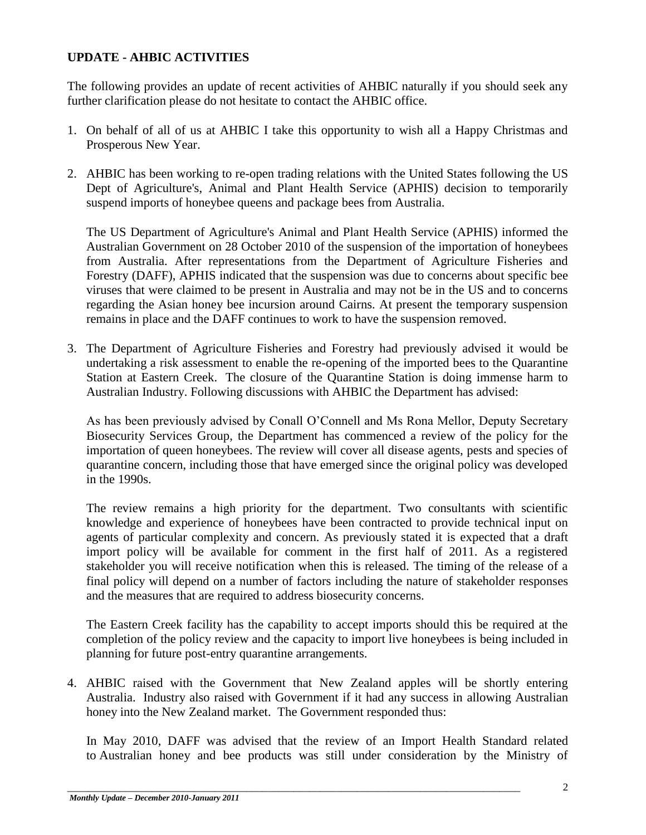# **UPDATE - AHBIC ACTIVITIES**

The following provides an update of recent activities of AHBIC naturally if you should seek any further clarification please do not hesitate to contact the AHBIC office.

- 1. On behalf of all of us at AHBIC I take this opportunity to wish all a Happy Christmas and Prosperous New Year.
- 2. AHBIC has been working to re-open trading relations with the United States following the US Dept of Agriculture's, Animal and Plant Health Service (APHIS) decision to temporarily suspend imports of honeybee queens and package bees from Australia.

The US Department of Agriculture's Animal and Plant Health Service (APHIS) informed the Australian Government on 28 October 2010 of the suspension of the importation of honeybees from Australia. After representations from the Department of Agriculture Fisheries and Forestry (DAFF), APHIS indicated that the suspension was due to concerns about specific bee viruses that were claimed to be present in Australia and may not be in the US and to concerns regarding the Asian honey bee incursion around Cairns. At present the temporary suspension remains in place and the DAFF continues to work to have the suspension removed.

3. The Department of Agriculture Fisheries and Forestry had previously advised it would be undertaking a risk assessment to enable the re-opening of the imported bees to the Quarantine Station at Eastern Creek. The closure of the Quarantine Station is doing immense harm to Australian Industry. Following discussions with AHBIC the Department has advised:

As has been previously advised by Conall O"Connell and Ms Rona Mellor, Deputy Secretary Biosecurity Services Group, the Department has commenced a review of the policy for the importation of queen honeybees. The review will cover all disease agents, pests and species of quarantine concern, including those that have emerged since the original policy was developed in the 1990s.

The review remains a high priority for the department. Two consultants with scientific knowledge and experience of honeybees have been contracted to provide technical input on agents of particular complexity and concern. As previously stated it is expected that a draft import policy will be available for comment in the first half of 2011. As a registered stakeholder you will receive notification when this is released. The timing of the release of a final policy will depend on a number of factors including the nature of stakeholder responses and the measures that are required to address biosecurity concerns.

The Eastern Creek facility has the capability to accept imports should this be required at the completion of the policy review and the capacity to import live honeybees is being included in planning for future post-entry quarantine arrangements.

4. AHBIC raised with the Government that New Zealand apples will be shortly entering Australia. Industry also raised with Government if it had any success in allowing Australian honey into the New Zealand market. The Government responded thus:

In May 2010, DAFF was advised that the review of an Import Health Standard related to Australian honey and bee products was still under consideration by the Ministry of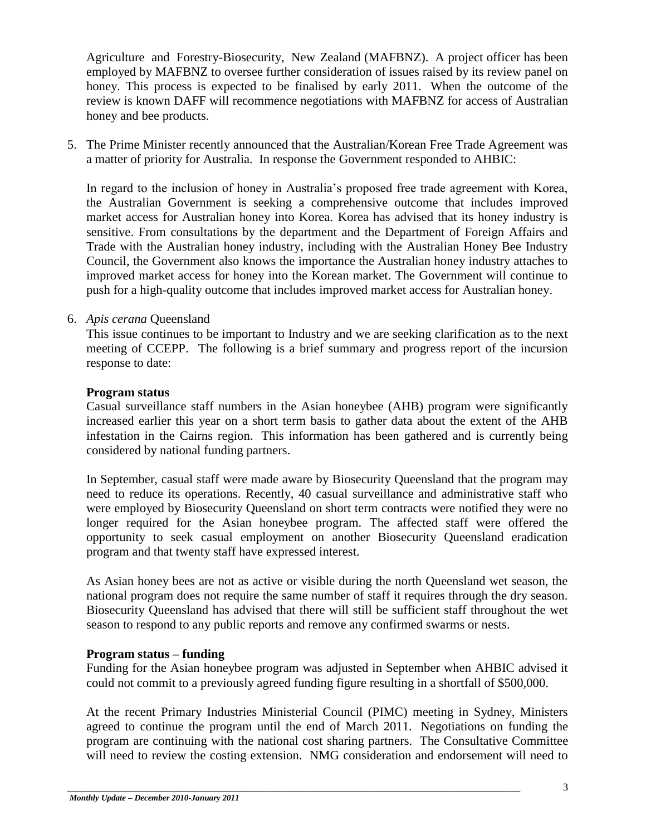Agriculture and Forestry-Biosecurity, New Zealand (MAFBNZ). A project officer has been employed by MAFBNZ to oversee further consideration of issues raised by its review panel on honey. This process is expected to be finalised by early 2011. When the outcome of the review is known DAFF will recommence negotiations with MAFBNZ for access of Australian honey and bee products.

5. The Prime Minister recently announced that the Australian/Korean Free Trade Agreement was a matter of priority for Australia. In response the Government responded to AHBIC:

In regard to the inclusion of honey in Australia"s proposed free trade agreement with Korea, the Australian Government is seeking a comprehensive outcome that includes improved market access for Australian honey into Korea. Korea has advised that its honey industry is sensitive. From consultations by the department and the Department of Foreign Affairs and Trade with the Australian honey industry, including with the Australian Honey Bee Industry Council, the Government also knows the importance the Australian honey industry attaches to improved market access for honey into the Korean market. The Government will continue to push for a high-quality outcome that includes improved market access for Australian honey.

#### 6. *Apis cerana* Queensland

This issue continues to be important to Industry and we are seeking clarification as to the next meeting of CCEPP. The following is a brief summary and progress report of the incursion response to date:

#### **Program status**

Casual surveillance staff numbers in the Asian honeybee (AHB) program were significantly increased earlier this year on a short term basis to gather data about the extent of the AHB infestation in the Cairns region. This information has been gathered and is currently being considered by national funding partners.

In September, casual staff were made aware by Biosecurity Queensland that the program may need to reduce its operations. Recently, 40 casual surveillance and administrative staff who were employed by Biosecurity Queensland on short term contracts were notified they were no longer required for the Asian honeybee program. The affected staff were offered the opportunity to seek casual employment on another Biosecurity Queensland eradication program and that twenty staff have expressed interest.

As Asian honey bees are not as active or visible during the north Queensland wet season, the national program does not require the same number of staff it requires through the dry season. Biosecurity Queensland has advised that there will still be sufficient staff throughout the wet season to respond to any public reports and remove any confirmed swarms or nests.

#### **Program status – funding**

Funding for the Asian honeybee program was adjusted in September when AHBIC advised it could not commit to a previously agreed funding figure resulting in a shortfall of \$500,000.

At the recent Primary Industries Ministerial Council (PIMC) meeting in Sydney, Ministers agreed to continue the program until the end of March 2011. Negotiations on funding the program are continuing with the national cost sharing partners. The Consultative Committee will need to review the costing extension. NMG consideration and endorsement will need to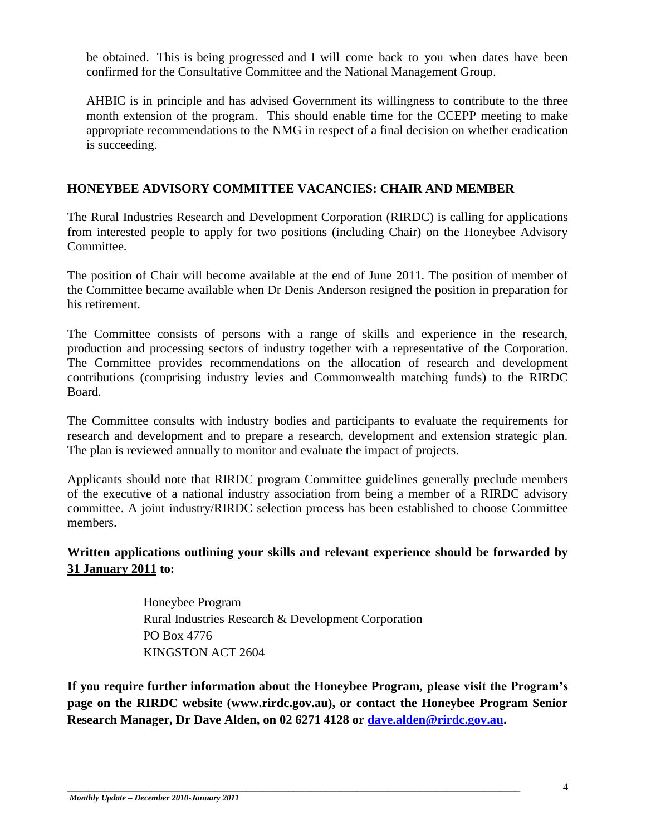be obtained. This is being progressed and I will come back to you when dates have been confirmed for the Consultative Committee and the National Management Group.

AHBIC is in principle and has advised Government its willingness to contribute to the three month extension of the program. This should enable time for the CCEPP meeting to make appropriate recommendations to the NMG in respect of a final decision on whether eradication is succeeding.

## **HONEYBEE ADVISORY COMMITTEE VACANCIES: CHAIR AND MEMBER**

The Rural Industries Research and Development Corporation (RIRDC) is calling for applications from interested people to apply for two positions (including Chair) on the Honeybee Advisory Committee.

The position of Chair will become available at the end of June 2011. The position of member of the Committee became available when Dr Denis Anderson resigned the position in preparation for his retirement.

The Committee consists of persons with a range of skills and experience in the research, production and processing sectors of industry together with a representative of the Corporation. The Committee provides recommendations on the allocation of research and development contributions (comprising industry levies and Commonwealth matching funds) to the RIRDC Board.

The Committee consults with industry bodies and participants to evaluate the requirements for research and development and to prepare a research, development and extension strategic plan. The plan is reviewed annually to monitor and evaluate the impact of projects.

Applicants should note that RIRDC program Committee guidelines generally preclude members of the executive of a national industry association from being a member of a RIRDC advisory committee. A joint industry/RIRDC selection process has been established to choose Committee members.

# **Written applications outlining your skills and relevant experience should be forwarded by 31 January 2011 to:**

Honeybee Program Rural Industries Research & Development Corporation PO Box 4776 KINGSTON ACT 2604

\_\_\_\_\_\_\_\_\_\_\_\_\_\_\_\_\_\_\_\_\_\_\_\_\_\_\_\_\_\_\_\_\_\_\_\_\_\_\_\_\_\_\_\_\_\_\_\_\_\_\_\_\_\_\_\_\_\_\_\_\_\_\_\_\_\_\_\_\_\_\_\_\_\_\_\_\_\_\_\_\_\_\_\_\_\_

**If you require further information about the Honeybee Program, please visit the Program's page on the RIRDC website (www.rirdc.gov.au), or contact the Honeybee Program Senior Research Manager, Dr Dave Alden, on 02 6271 4128 or [dave.alden@rirdc.gov.au.](mailto:dave.alden@rirdc.gov.au)**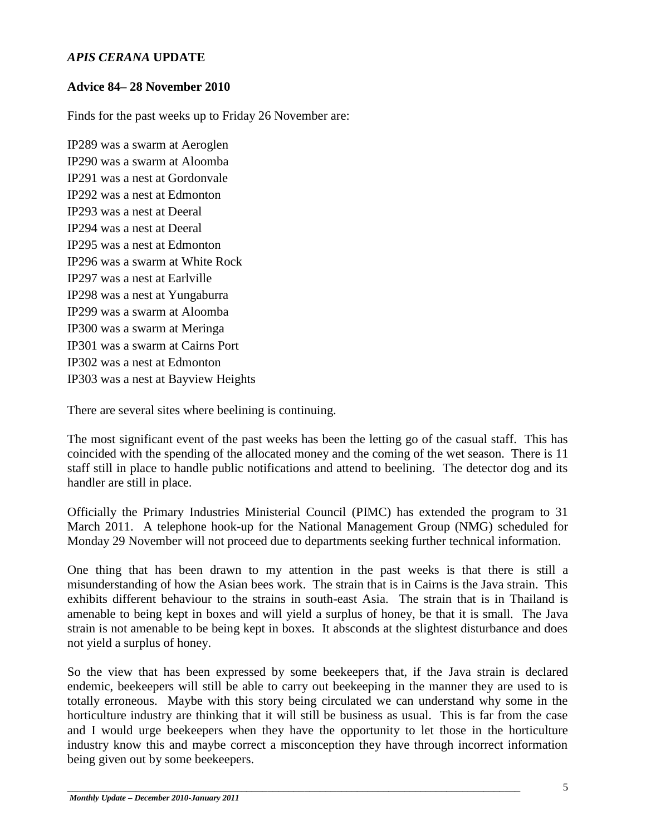## *APIS CERANA* **UPDATE**

## **Advice 84– 28 November 2010**

Finds for the past weeks up to Friday 26 November are:

IP289 was a swarm at Aeroglen IP290 was a swarm at Aloomba IP291 was a nest at Gordonvale IP292 was a nest at Edmonton IP293 was a nest at Deeral IP294 was a nest at Deeral IP295 was a nest at Edmonton IP296 was a swarm at White Rock IP297 was a nest at Earlville IP298 was a nest at Yungaburra IP299 was a swarm at Aloomba IP300 was a swarm at Meringa IP301 was a swarm at Cairns Port IP302 was a nest at Edmonton IP303 was a nest at Bayview Heights

There are several sites where beelining is continuing.

The most significant event of the past weeks has been the letting go of the casual staff. This has coincided with the spending of the allocated money and the coming of the wet season. There is 11 staff still in place to handle public notifications and attend to beelining. The detector dog and its handler are still in place.

Officially the Primary Industries Ministerial Council (PIMC) has extended the program to 31 March 2011. A telephone hook-up for the National Management Group (NMG) scheduled for Monday 29 November will not proceed due to departments seeking further technical information.

One thing that has been drawn to my attention in the past weeks is that there is still a misunderstanding of how the Asian bees work. The strain that is in Cairns is the Java strain. This exhibits different behaviour to the strains in south-east Asia. The strain that is in Thailand is amenable to being kept in boxes and will yield a surplus of honey, be that it is small. The Java strain is not amenable to be being kept in boxes. It absconds at the slightest disturbance and does not yield a surplus of honey.

So the view that has been expressed by some beekeepers that, if the Java strain is declared endemic, beekeepers will still be able to carry out beekeeping in the manner they are used to is totally erroneous. Maybe with this story being circulated we can understand why some in the horticulture industry are thinking that it will still be business as usual. This is far from the case and I would urge beekeepers when they have the opportunity to let those in the horticulture industry know this and maybe correct a misconception they have through incorrect information being given out by some beekeepers.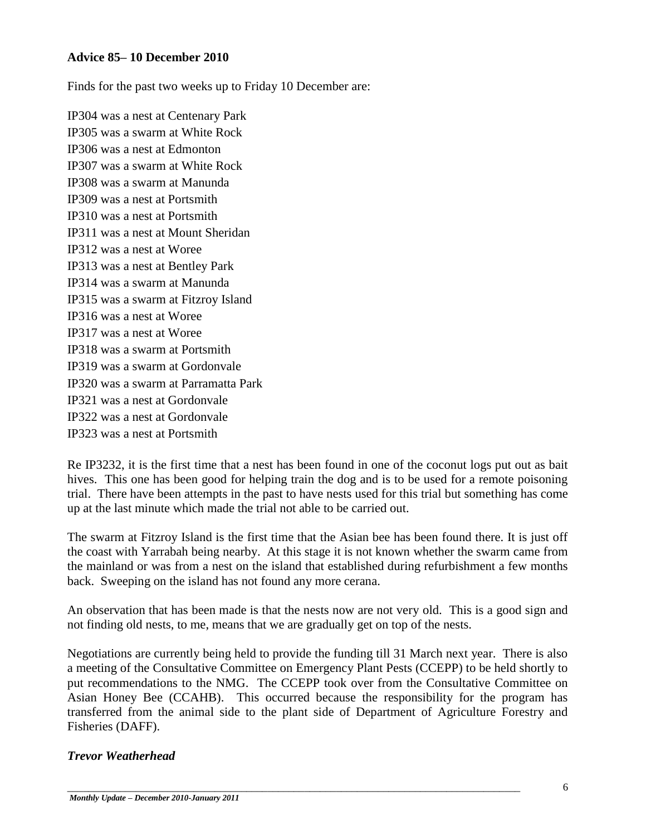#### **Advice 85– 10 December 2010**

Finds for the past two weeks up to Friday 10 December are:

IP304 was a nest at Centenary Park IP305 was a swarm at White Rock IP306 was a nest at Edmonton IP307 was a swarm at White Rock IP308 was a swarm at Manunda IP309 was a nest at Portsmith IP310 was a nest at Portsmith IP311 was a nest at Mount Sheridan IP312 was a nest at Woree IP313 was a nest at Bentley Park IP314 was a swarm at Manunda IP315 was a swarm at Fitzroy Island IP316 was a nest at Woree IP317 was a nest at Woree IP318 was a swarm at Portsmith IP319 was a swarm at Gordonvale IP320 was a swarm at Parramatta Park IP321 was a nest at Gordonvale IP322 was a nest at Gordonvale IP323 was a nest at Portsmith

Re IP3232, it is the first time that a nest has been found in one of the coconut logs put out as bait hives. This one has been good for helping train the dog and is to be used for a remote poisoning trial. There have been attempts in the past to have nests used for this trial but something has come up at the last minute which made the trial not able to be carried out.

The swarm at Fitzroy Island is the first time that the Asian bee has been found there. It is just off the coast with Yarrabah being nearby. At this stage it is not known whether the swarm came from the mainland or was from a nest on the island that established during refurbishment a few months back. Sweeping on the island has not found any more cerana.

An observation that has been made is that the nests now are not very old. This is a good sign and not finding old nests, to me, means that we are gradually get on top of the nests.

Negotiations are currently being held to provide the funding till 31 March next year. There is also a meeting of the Consultative Committee on Emergency Plant Pests (CCEPP) to be held shortly to put recommendations to the NMG. The CCEPP took over from the Consultative Committee on Asian Honey Bee (CCAHB). This occurred because the responsibility for the program has transferred from the animal side to the plant side of Department of Agriculture Forestry and Fisheries (DAFF).

#### *Trevor Weatherhead*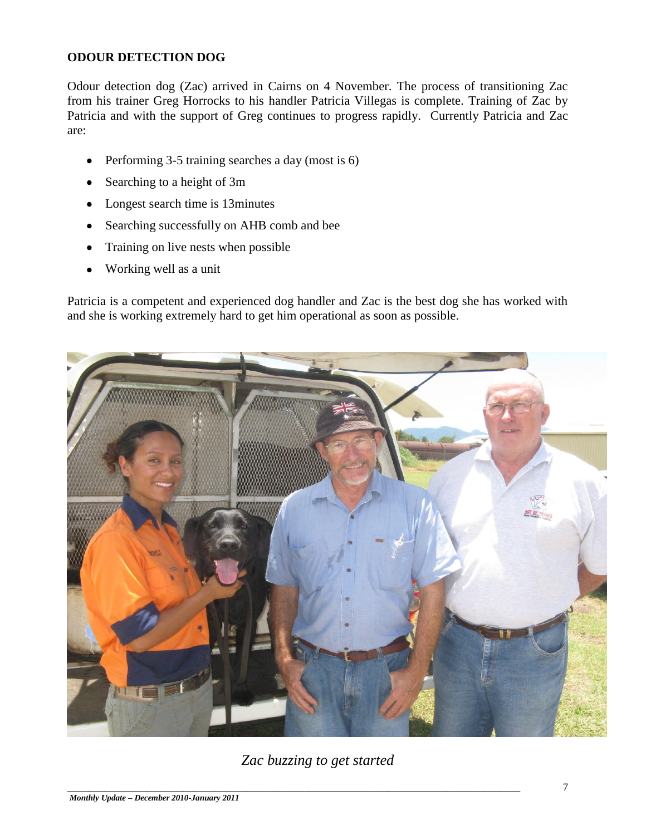## **ODOUR DETECTION DOG**

Odour detection dog (Zac) arrived in Cairns on 4 November. The process of transitioning Zac from his trainer Greg Horrocks to his handler Patricia Villegas is complete. Training of Zac by Patricia and with the support of Greg continues to progress rapidly. Currently Patricia and Zac are:

- Performing 3-5 training searches a day (most is 6)  $\bullet$
- Searching to a height of 3m
- Longest search time is 13minutes
- Searching successfully on AHB comb and bee  $\bullet$
- Training on live nests when possible
- Working well as a unit

Patricia is a competent and experienced dog handler and Zac is the best dog she has worked with and she is working extremely hard to get him operational as soon as possible.



*Zac buzzing to get started*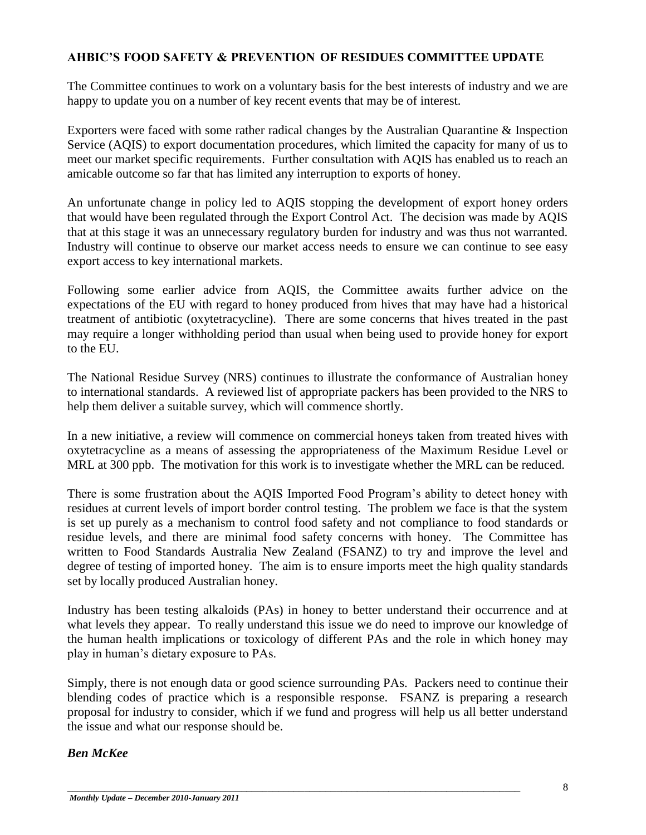# **AHBIC'S FOOD SAFETY & PREVENTION OF RESIDUES COMMITTEE UPDATE**

The Committee continues to work on a voluntary basis for the best interests of industry and we are happy to update you on a number of key recent events that may be of interest.

Exporters were faced with some rather radical changes by the Australian Quarantine & Inspection Service (AQIS) to export documentation procedures, which limited the capacity for many of us to meet our market specific requirements. Further consultation with AQIS has enabled us to reach an amicable outcome so far that has limited any interruption to exports of honey.

An unfortunate change in policy led to AQIS stopping the development of export honey orders that would have been regulated through the Export Control Act. The decision was made by AQIS that at this stage it was an unnecessary regulatory burden for industry and was thus not warranted. Industry will continue to observe our market access needs to ensure we can continue to see easy export access to key international markets.

Following some earlier advice from AQIS, the Committee awaits further advice on the expectations of the EU with regard to honey produced from hives that may have had a historical treatment of antibiotic (oxytetracycline). There are some concerns that hives treated in the past may require a longer withholding period than usual when being used to provide honey for export to the EU.

The National Residue Survey (NRS) continues to illustrate the conformance of Australian honey to international standards. A reviewed list of appropriate packers has been provided to the NRS to help them deliver a suitable survey, which will commence shortly.

In a new initiative, a review will commence on commercial honeys taken from treated hives with oxytetracycline as a means of assessing the appropriateness of the Maximum Residue Level or MRL at 300 ppb. The motivation for this work is to investigate whether the MRL can be reduced.

There is some frustration about the AQIS Imported Food Program"s ability to detect honey with residues at current levels of import border control testing. The problem we face is that the system is set up purely as a mechanism to control food safety and not compliance to food standards or residue levels, and there are minimal food safety concerns with honey. The Committee has written to Food Standards Australia New Zealand (FSANZ) to try and improve the level and degree of testing of imported honey. The aim is to ensure imports meet the high quality standards set by locally produced Australian honey.

Industry has been testing alkaloids (PAs) in honey to better understand their occurrence and at what levels they appear. To really understand this issue we do need to improve our knowledge of the human health implications or toxicology of different PAs and the role in which honey may play in human"s dietary exposure to PAs.

Simply, there is not enough data or good science surrounding PAs. Packers need to continue their blending codes of practice which is a responsible response. FSANZ is preparing a research proposal for industry to consider, which if we fund and progress will help us all better understand the issue and what our response should be.

\_\_\_\_\_\_\_\_\_\_\_\_\_\_\_\_\_\_\_\_\_\_\_\_\_\_\_\_\_\_\_\_\_\_\_\_\_\_\_\_\_\_\_\_\_\_\_\_\_\_\_\_\_\_\_\_\_\_\_\_\_\_\_\_\_\_\_\_\_\_\_\_\_\_\_\_\_\_\_\_\_\_\_\_\_\_

#### *Ben McKee*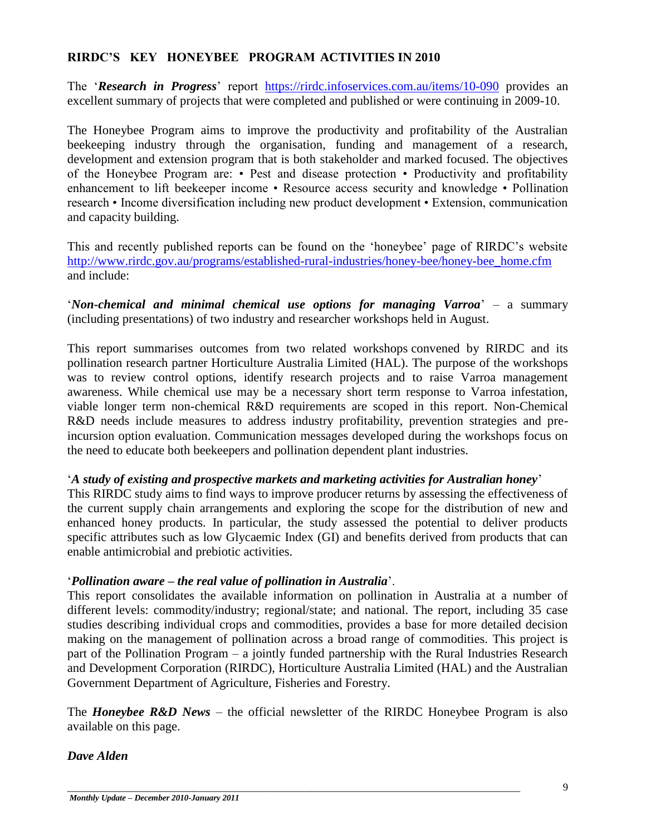#### **RIRDC'S KEY HONEYBEE PROGRAM ACTIVITIES IN 2010**

The 'Research in Progress' report <https://rirdc.infoservices.com.au/items/10-090> provides an excellent summary of projects that were completed and published or were continuing in 2009-10.

The Honeybee Program aims to improve the productivity and profitability of the Australian beekeeping industry through the organisation, funding and management of a research, development and extension program that is both stakeholder and marked focused. The objectives of the Honeybee Program are: • Pest and disease protection • Productivity and profitability enhancement to lift beekeeper income • Resource access security and knowledge • Pollination research • Income diversification including new product development • Extension, communication and capacity building.

This and recently published reports can be found on the "honeybee" page of RIRDC"s website [http://www.rirdc.gov.au/programs/established-rural-industries/honey-bee/honey-bee\\_home.cfm](http://www.rirdc.gov.au/programs/established-rural-industries/honey-bee/honey-bee_home.cfm) and include:

"*Non-chemical and minimal chemical use options for managing Varroa*" – a summary (including presentations) of two industry and researcher workshops held in August.

This report summarises outcomes from two related workshops convened by RIRDC and its pollination research partner Horticulture Australia Limited (HAL). The purpose of the workshops was to review control options, identify research projects and to raise Varroa management awareness. While chemical use may be a necessary short term response to Varroa infestation, viable longer term non-chemical R&D requirements are scoped in this report. Non-Chemical R&D needs include measures to address industry profitability, prevention strategies and preincursion option evaluation. Communication messages developed during the workshops focus on the need to educate both beekeepers and pollination dependent plant industries.

#### "*A study of existing and prospective markets and marketing activities for Australian honey*"

This RIRDC study aims to find ways to improve producer returns by assessing the effectiveness of the current supply chain arrangements and exploring the scope for the distribution of new and enhanced honey products. In particular, the study assessed the potential to deliver products specific attributes such as low Glycaemic Index (GI) and benefits derived from products that can enable antimicrobial and prebiotic activities.

#### "*Pollination aware – the real value of pollination in Australia*".

This report consolidates the available information on pollination in Australia at a number of different levels: commodity/industry; regional/state; and national. The report, including 35 case studies describing individual crops and commodities, provides a base for more detailed decision making on the management of pollination across a broad range of commodities. This project is part of the Pollination Program – a jointly funded partnership with the Rural Industries Research and Development Corporation (RIRDC), Horticulture Australia Limited (HAL) and the Australian Government Department of Agriculture, Fisheries and Forestry.

The *Honeybee R&D News* – the official newsletter of the RIRDC Honeybee Program is also available on this page.

\_\_\_\_\_\_\_\_\_\_\_\_\_\_\_\_\_\_\_\_\_\_\_\_\_\_\_\_\_\_\_\_\_\_\_\_\_\_\_\_\_\_\_\_\_\_\_\_\_\_\_\_\_\_\_\_\_\_\_\_\_\_\_\_\_\_\_\_\_\_\_\_\_\_\_\_\_\_\_\_\_\_\_\_\_\_

#### *Dave Alden*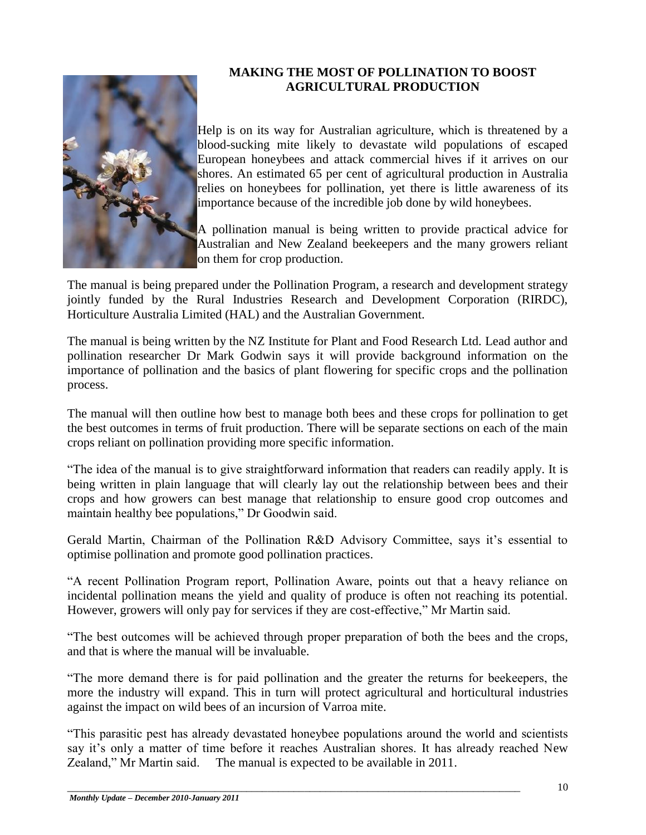

# **MAKING THE MOST OF POLLINATION TO BOOST AGRICULTURAL PRODUCTION**

Help is on its way for Australian agriculture, which is threatened by a blood-sucking mite likely to devastate wild populations of escaped European honeybees and attack commercial hives if it arrives on our shores. An estimated 65 per cent of agricultural production in Australia relies on honeybees for pollination, yet there is little awareness of its importance because of the incredible job done by wild honeybees.

A pollination manual is being written to provide practical advice for Australian and New Zealand beekeepers and the many growers reliant on them for crop production.

The manual is being prepared under the Pollination Program, a research and development strategy jointly funded by the Rural Industries Research and Development Corporation (RIRDC), Horticulture Australia Limited (HAL) and the Australian Government.

The manual is being written by the NZ Institute for Plant and Food Research Ltd. Lead author and pollination researcher Dr Mark Godwin says it will provide background information on the importance of pollination and the basics of plant flowering for specific crops and the pollination process.

The manual will then outline how best to manage both bees and these crops for pollination to get the best outcomes in terms of fruit production. There will be separate sections on each of the main crops reliant on pollination providing more specific information.

"The idea of the manual is to give straightforward information that readers can readily apply. It is being written in plain language that will clearly lay out the relationship between bees and their crops and how growers can best manage that relationship to ensure good crop outcomes and maintain healthy bee populations," Dr Goodwin said.

Gerald Martin, Chairman of the Pollination R&D Advisory Committee, says it's essential to optimise pollination and promote good pollination practices.

"A recent Pollination Program report, Pollination Aware, points out that a heavy reliance on incidental pollination means the yield and quality of produce is often not reaching its potential. However, growers will only pay for services if they are cost-effective," Mr Martin said.

"The best outcomes will be achieved through proper preparation of both the bees and the crops, and that is where the manual will be invaluable.

"The more demand there is for paid pollination and the greater the returns for beekeepers, the more the industry will expand. This in turn will protect agricultural and horticultural industries against the impact on wild bees of an incursion of Varroa mite.

"This parasitic pest has already devastated honeybee populations around the world and scientists say it's only a matter of time before it reaches Australian shores. It has already reached New Zealand," Mr Martin said. The manual is expected to be available in 2011.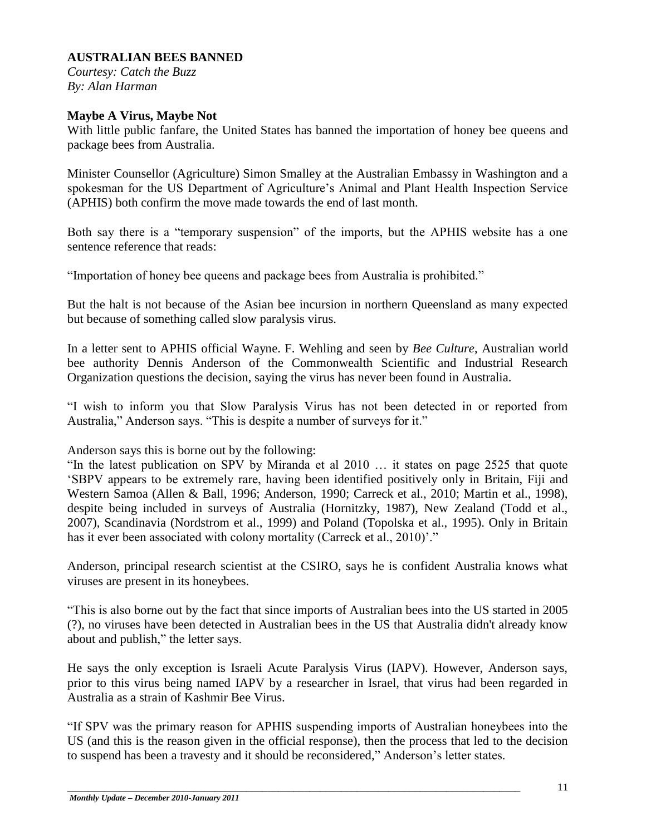#### **AUSTRALIAN BEES BANNED**

*Courtesy: Catch the Buzz By: Alan Harman* 

#### **Maybe A Virus, Maybe Not**

With little public fanfare, the United States has banned the importation of honey bee queens and package bees from Australia.

Minister Counsellor (Agriculture) Simon Smalley at the Australian Embassy in Washington and a spokesman for the US Department of Agriculture's Animal and Plant Health Inspection Service (APHIS) both confirm the move made towards the end of last month.

Both say there is a "temporary suspension" of the imports, but the APHIS website has a one sentence reference that reads:

"Importation of honey bee queens and package bees from Australia is prohibited."

But the halt is not because of the Asian bee incursion in northern Queensland as many expected but because of something called slow paralysis virus.

In a letter sent to APHIS official Wayne. F. Wehling and seen by *Bee Culture*, Australian world bee authority Dennis Anderson of the Commonwealth Scientific and Industrial Research Organization questions the decision, saying the virus has never been found in Australia.

"I wish to inform you that Slow Paralysis Virus has not been detected in or reported from Australia," Anderson says. "This is despite a number of surveys for it."

Anderson says this is borne out by the following:

"In the latest publication on SPV by Miranda et al 2010 … it states on page 2525 that quote "SBPV appears to be extremely rare, having been identified positively only in Britain, Fiji and Western Samoa (Allen & Ball, 1996; Anderson, 1990; Carreck et al., 2010; Martin et al., 1998), despite being included in surveys of Australia (Hornitzky, 1987), New Zealand (Todd et al., 2007), Scandinavia (Nordstrom et al., 1999) and Poland (Topolska et al., 1995). Only in Britain has it ever been associated with colony mortality (Carreck et al., 2010)'."

Anderson, principal research scientist at the CSIRO, says he is confident Australia knows what viruses are present in its honeybees.

"This is also borne out by the fact that since imports of Australian bees into the US started in 2005 (?), no viruses have been detected in Australian bees in the US that Australia didn't already know about and publish," the letter says.

He says the only exception is Israeli Acute Paralysis Virus (IAPV). However, Anderson says, prior to this virus being named IAPV by a researcher in Israel, that virus had been regarded in Australia as a strain of Kashmir Bee Virus.

"If SPV was the primary reason for APHIS suspending imports of Australian honeybees into the US (and this is the reason given in the official response), then the process that led to the decision to suspend has been a travesty and it should be reconsidered," Anderson"s letter states.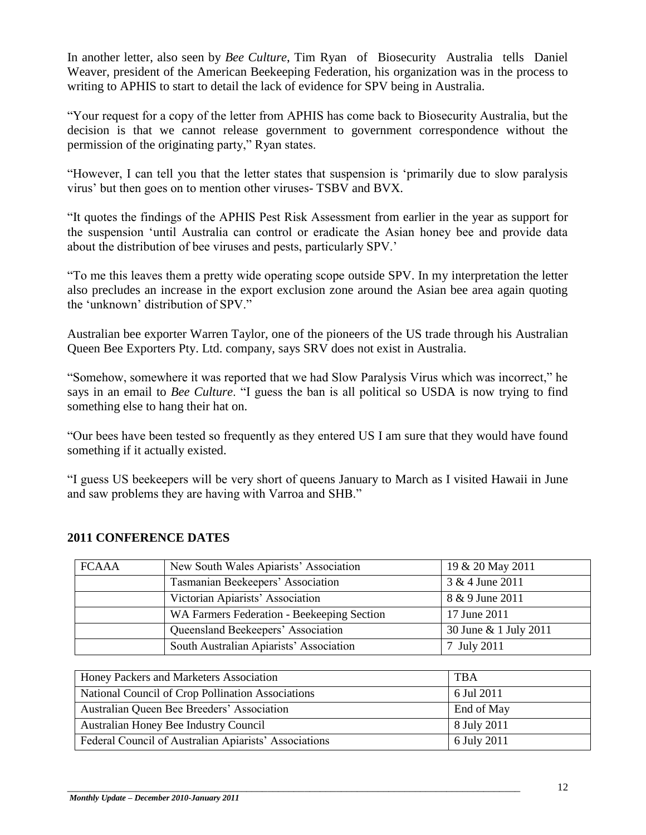In another letter, also seen by *Bee Culture*, Tim Ryan of Biosecurity Australia tells Daniel Weaver, president of the American Beekeeping Federation, his organization was in the process to writing to APHIS to start to detail the lack of evidence for SPV being in Australia.

"Your request for a copy of the letter from APHIS has come back to Biosecurity Australia, but the decision is that we cannot release government to government correspondence without the permission of the originating party," Ryan states.

"However, I can tell you that the letter states that suspension is "primarily due to slow paralysis virus" but then goes on to mention other viruses- TSBV and BVX.

"It quotes the findings of the APHIS Pest Risk Assessment from earlier in the year as support for the suspension "until Australia can control or eradicate the Asian honey bee and provide data about the distribution of bee viruses and pests, particularly SPV."

"To me this leaves them a pretty wide operating scope outside SPV. In my interpretation the letter also precludes an increase in the export exclusion zone around the Asian bee area again quoting the "unknown" distribution of SPV."

Australian bee exporter Warren Taylor, one of the pioneers of the US trade through his Australian Queen Bee Exporters Pty. Ltd. company, says SRV does not exist in Australia.

"Somehow, somewhere it was reported that we had Slow Paralysis Virus which was incorrect," he says in an email to *Bee Culture*. "I guess the ban is all political so USDA is now trying to find something else to hang their hat on.

"Our bees have been tested so frequently as they entered US I am sure that they would have found something if it actually existed.

"I guess US beekeepers will be very short of queens January to March as I visited Hawaii in June and saw problems they are having with Varroa and SHB."

| <b>FCAAA</b> | New South Wales Apiarists' Association     | 19 & 20 May 2011      |
|--------------|--------------------------------------------|-----------------------|
|              | Tasmanian Beekeepers' Association          | 3 & 4 June 2011       |
|              | Victorian Apiarists' Association           | 8 & 9 June 2011       |
|              | WA Farmers Federation - Beekeeping Section | 17 June 2011          |
|              | Queensland Beekeepers' Association         | 30 June & 1 July 2011 |
|              | South Australian Apiarists' Association    | 7 July 2011           |

#### **2011 CONFERENCE DATES**

| Honey Packers and Marketers Association               | <b>TBA</b>  |
|-------------------------------------------------------|-------------|
| National Council of Crop Pollination Associations     | 6 Jul 2011  |
| Australian Queen Bee Breeders' Association            | End of May  |
| Australian Honey Bee Industry Council                 | 8 July 2011 |
| Federal Council of Australian Apiarists' Associations | 6 July 2011 |